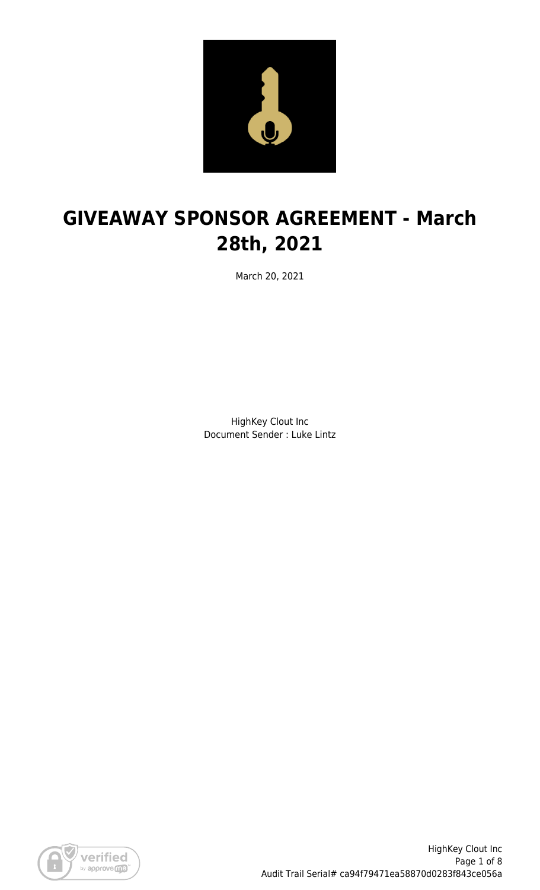

# **GIVEAWAY SPONSOR AGREEMENT - March 28th, 2021**

March 20, 2021

HighKey Clout Inc Document Sender : Luke Lintz

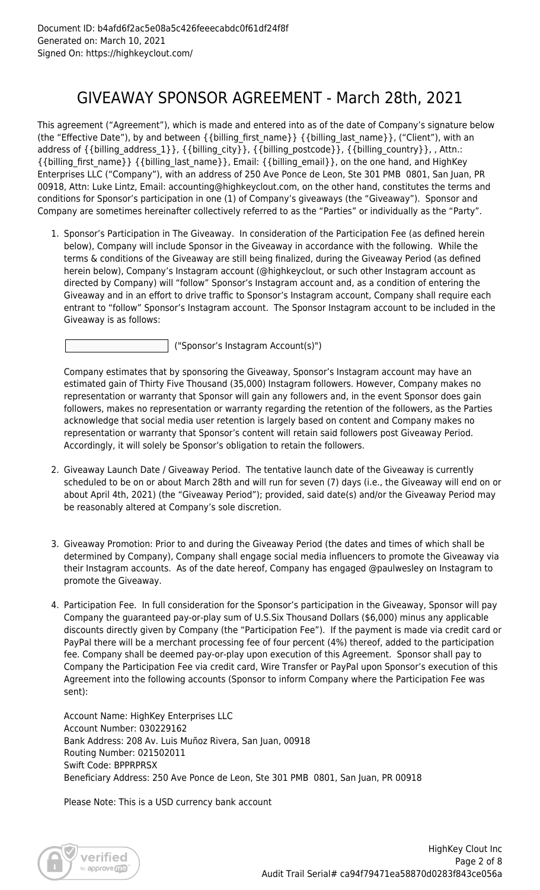## GIVEAWAY SPONSOR AGREEMENT - March 28th, 2021

This agreement ("Agreement"), which is made and entered into as of the date of Company's signature below (the "Effective Date"), by and between {{billing\_first\_name}} {{billing\_last\_name}}, ("Client"), with an address of {{billing\_address\_1}}, {{billing\_city}}, {{billing\_postcode}}, {{billing\_country}}, , Attn.: {{billing\_first\_name}} {{billing\_last\_name}}, Email: {{billing\_email}}, on the one hand, and HighKey Enterprises LLC ("Company"), with an address of 250 Ave Ponce de Leon, Ste 301 PMB 0801, San Juan, PR 00918, Attn: Luke Lintz, Email: accounting@highkeyclout.com, on the other hand, constitutes the terms and conditions for Sponsor's participation in one (1) of Company's giveaways (the "Giveaway"). Sponsor and Company are sometimes hereinafter collectively referred to as the "Parties" or individually as the "Party".

1. Sponsor's Participation in The Giveaway. In consideration of the Participation Fee (as defined herein below), Company will include Sponsor in the Giveaway in accordance with the following. While the terms & conditions of the Giveaway are still being finalized, during the Giveaway Period (as defined herein below), Company's Instagram account (@highkeyclout, or such other Instagram account as directed by Company) will "follow" Sponsor's Instagram account and, as a condition of entering the Giveaway and in an effort to drive traffic to Sponsor's Instagram account, Company shall require each entrant to "follow" Sponsor's Instagram account. The Sponsor Instagram account to be included in the Giveaway is as follows:

("Sponsor's Instagram Account(s)")

Company estimates that by sponsoring the Giveaway, Sponsor's Instagram account may have an estimated gain of Thirty Five Thousand (35,000) Instagram followers. However, Company makes no representation or warranty that Sponsor will gain any followers and, in the event Sponsor does gain followers, makes no representation or warranty regarding the retention of the followers, as the Parties acknowledge that social media user retention is largely based on content and Company makes no representation or warranty that Sponsor's content will retain said followers post Giveaway Period. Accordingly, it will solely be Sponsor's obligation to retain the followers.

- 2. Giveaway Launch Date / Giveaway Period. The tentative launch date of the Giveaway is currently scheduled to be on or about March 28th and will run for seven (7) days (i.e., the Giveaway will end on or about April 4th, 2021) (the "Giveaway Period"); provided, said date(s) and/or the Giveaway Period may be reasonably altered at Company's sole discretion.
- 3. Giveaway Promotion: Prior to and during the Giveaway Period (the dates and times of which shall be determined by Company), Company shall engage social media influencers to promote the Giveaway via their Instagram accounts. As of the date hereof, Company has engaged @paulwesley on Instagram to promote the Giveaway.
- 4. Participation Fee. In full consideration for the Sponsor's participation in the Giveaway, Sponsor will pay Company the guaranteed pay-or-play sum of U.S.Six Thousand Dollars (\$6,000) minus any applicable discounts directly given by Company (the "Participation Fee"). If the payment is made via credit card or PayPal there will be a merchant processing fee of four percent (4%) thereof, added to the participation fee. Company shall be deemed pay-or-play upon execution of this Agreement. Sponsor shall pay to Company the Participation Fee via credit card, Wire Transfer or PayPal upon Sponsor's execution of this Agreement into the following accounts (Sponsor to inform Company where the Participation Fee was sent):

Account Name: HighKey Enterprises LLC Account Number: 030229162 Bank Address: 208 Av. Luis Muñoz Rivera, San Juan, 00918 Routing Number: 021502011 Swift Code: BPPRPRSX Beneficiary Address: 250 Ave Ponce de Leon, Ste 301 PMB 0801, San Juan, PR 00918

Please Note: This is a USD currency bank account

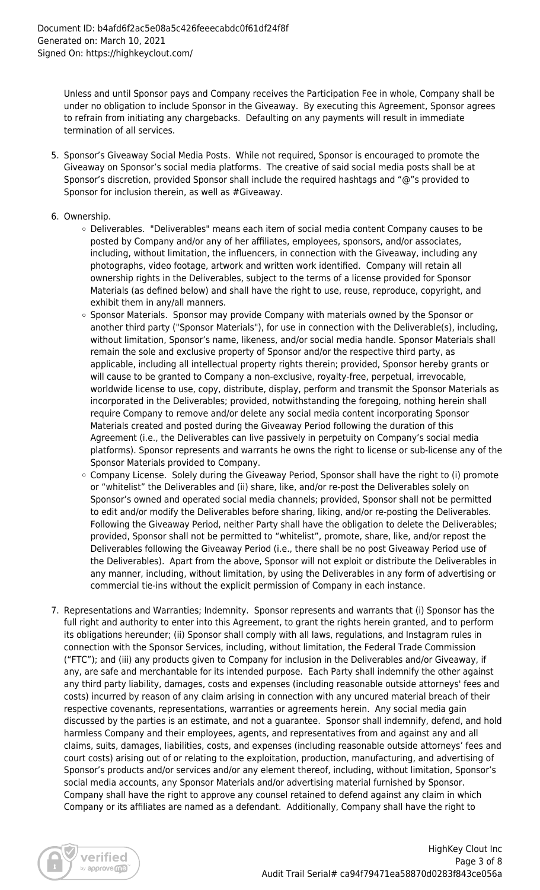Unless and until Sponsor pays and Company receives the Participation Fee in whole, Company shall be under no obligation to include Sponsor in the Giveaway. By executing this Agreement, Sponsor agrees to refrain from initiating any chargebacks. Defaulting on any payments will result in immediate termination of all services.

- 5. Sponsor's Giveaway Social Media Posts. While not required, Sponsor is encouraged to promote the Giveaway on Sponsor's social media platforms. The creative of said social media posts shall be at Sponsor's discretion, provided Sponsor shall include the required hashtags and "@"s provided to Sponsor for inclusion therein, as well as #Giveaway.
- 6. Ownership.
	- Deliverables. "Deliverables" means each item of social media content Company causes to be posted by Company and/or any of her affiliates, employees, sponsors, and/or associates, including, without limitation, the influencers, in connection with the Giveaway, including any photographs, video footage, artwork and written work identified. Company will retain all ownership rights in the Deliverables, subject to the terms of a license provided for Sponsor Materials (as defined below) and shall have the right to use, reuse, reproduce, copyright, and exhibit them in any/all manners.
	- o Sponsor Materials. Sponsor may provide Company with materials owned by the Sponsor or another third party ("Sponsor Materials"), for use in connection with the Deliverable(s), including, without limitation, Sponsor's name, likeness, and/or social media handle. Sponsor Materials shall remain the sole and exclusive property of Sponsor and/or the respective third party, as applicable, including all intellectual property rights therein; provided, Sponsor hereby grants or will cause to be granted to Company a non-exclusive, royalty-free, perpetual, irrevocable, worldwide license to use, copy, distribute, display, perform and transmit the Sponsor Materials as incorporated in the Deliverables; provided, notwithstanding the foregoing, nothing herein shall require Company to remove and/or delete any social media content incorporating Sponsor Materials created and posted during the Giveaway Period following the duration of this Agreement (i.e., the Deliverables can live passively in perpetuity on Company's social media platforms). Sponsor represents and warrants he owns the right to license or sub-license any of the Sponsor Materials provided to Company.
	- o Company License. Solely during the Giveaway Period, Sponsor shall have the right to (i) promote or "whitelist" the Deliverables and (ii) share, like, and/or re-post the Deliverables solely on Sponsor's owned and operated social media channels; provided, Sponsor shall not be permitted to edit and/or modify the Deliverables before sharing, liking, and/or re-posting the Deliverables. Following the Giveaway Period, neither Party shall have the obligation to delete the Deliverables; provided, Sponsor shall not be permitted to "whitelist", promote, share, like, and/or repost the Deliverables following the Giveaway Period (i.e., there shall be no post Giveaway Period use of the Deliverables). Apart from the above, Sponsor will not exploit or distribute the Deliverables in any manner, including, without limitation, by using the Deliverables in any form of advertising or commercial tie-ins without the explicit permission of Company in each instance.
- 7. Representations and Warranties; Indemnity. Sponsor represents and warrants that (i) Sponsor has the full right and authority to enter into this Agreement, to grant the rights herein granted, and to perform its obligations hereunder; (ii) Sponsor shall comply with all laws, regulations, and Instagram rules in connection with the Sponsor Services, including, without limitation, the Federal Trade Commission ("FTC"); and (iii) any products given to Company for inclusion in the Deliverables and/or Giveaway, if any, are safe and merchantable for its intended purpose. Each Party shall indemnify the other against any third party liability, damages, costs and expenses (including reasonable outside attorneys' fees and costs) incurred by reason of any claim arising in connection with any uncured material breach of their respective covenants, representations, warranties or agreements herein. Any social media gain discussed by the parties is an estimate, and not a guarantee. Sponsor shall indemnify, defend, and hold harmless Company and their employees, agents, and representatives from and against any and all claims, suits, damages, liabilities, costs, and expenses (including reasonable outside attorneys' fees and court costs) arising out of or relating to the exploitation, production, manufacturing, and advertising of Sponsor's products and/or services and/or any element thereof, including, without limitation, Sponsor's social media accounts, any Sponsor Materials and/or advertising material furnished by Sponsor. Company shall have the right to approve any counsel retained to defend against any claim in which Company or its affiliates are named as a defendant. Additionally, Company shall have the right to

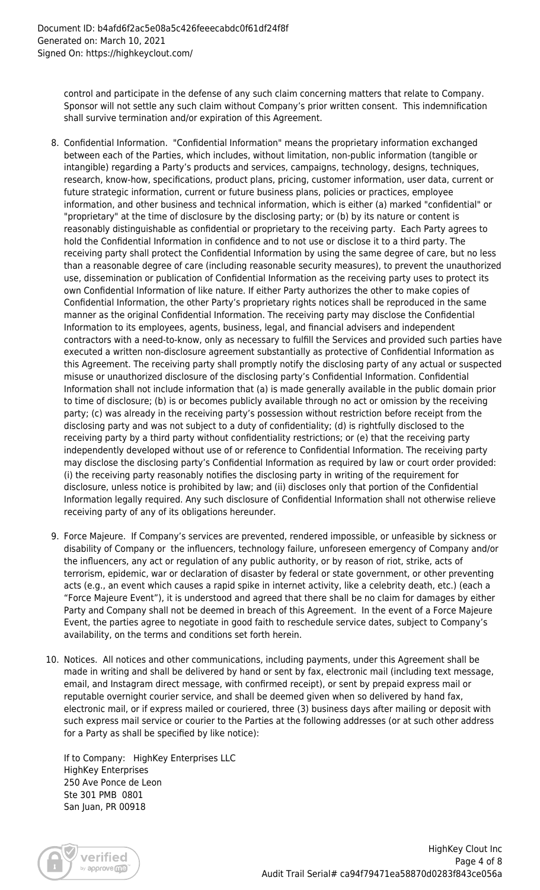control and participate in the defense of any such claim concerning matters that relate to Company. Sponsor will not settle any such claim without Company's prior written consent. This indemnification shall survive termination and/or expiration of this Agreement.

- 8. Confidential Information. "Confidential Information" means the proprietary information exchanged between each of the Parties, which includes, without limitation, non-public information (tangible or intangible) regarding a Party's products and services, campaigns, technology, designs, techniques, research, know-how, specifications, product plans, pricing, customer information, user data, current or future strategic information, current or future business plans, policies or practices, employee information, and other business and technical information, which is either (a) marked "confidential" or "proprietary" at the time of disclosure by the disclosing party; or (b) by its nature or content is reasonably distinguishable as confidential or proprietary to the receiving party. Each Party agrees to hold the Confidential Information in confidence and to not use or disclose it to a third party. The receiving party shall protect the Confidential Information by using the same degree of care, but no less than a reasonable degree of care (including reasonable security measures), to prevent the unauthorized use, dissemination or publication of Confidential Information as the receiving party uses to protect its own Confidential Information of like nature. If either Party authorizes the other to make copies of Confidential Information, the other Party's proprietary rights notices shall be reproduced in the same manner as the original Confidential Information. The receiving party may disclose the Confidential Information to its employees, agents, business, legal, and financial advisers and independent contractors with a need-to-know, only as necessary to fulfill the Services and provided such parties have executed a written non-disclosure agreement substantially as protective of Confidential Information as this Agreement. The receiving party shall promptly notify the disclosing party of any actual or suspected misuse or unauthorized disclosure of the disclosing party's Confidential Information. Confidential Information shall not include information that (a) is made generally available in the public domain prior to time of disclosure; (b) is or becomes publicly available through no act or omission by the receiving party; (c) was already in the receiving party's possession without restriction before receipt from the disclosing party and was not subject to a duty of confidentiality; (d) is rightfully disclosed to the receiving party by a third party without confidentiality restrictions; or (e) that the receiving party independently developed without use of or reference to Confidential Information. The receiving party may disclose the disclosing party's Confidential Information as required by law or court order provided: (i) the receiving party reasonably notifies the disclosing party in writing of the requirement for disclosure, unless notice is prohibited by law; and (ii) discloses only that portion of the Confidential Information legally required. Any such disclosure of Confidential Information shall not otherwise relieve receiving party of any of its obligations hereunder.
- 9. Force Majeure. If Company's services are prevented, rendered impossible, or unfeasible by sickness or disability of Company or the influencers, technology failure, unforeseen emergency of Company and/or the influencers, any act or regulation of any public authority, or by reason of riot, strike, acts of terrorism, epidemic, war or declaration of disaster by federal or state government, or other preventing acts (e.g., an event which causes a rapid spike in internet activity, like a celebrity death, etc.) (each a "Force Majeure Event"), it is understood and agreed that there shall be no claim for damages by either Party and Company shall not be deemed in breach of this Agreement. In the event of a Force Majeure Event, the parties agree to negotiate in good faith to reschedule service dates, subject to Company's availability, on the terms and conditions set forth herein.
- 10. Notices. All notices and other communications, including payments, under this Agreement shall be made in writing and shall be delivered by hand or sent by fax, electronic mail (including text message, email, and Instagram direct message, with confirmed receipt), or sent by prepaid express mail or reputable overnight courier service, and shall be deemed given when so delivered by hand fax, electronic mail, or if express mailed or couriered, three (3) business days after mailing or deposit with such express mail service or courier to the Parties at the following addresses (or at such other address for a Party as shall be specified by like notice):

If to Company: HighKey Enterprises LLC HighKey Enterprises 250 Ave Ponce de Leon Ste 301 PMB 0801 San Juan, PR 00918

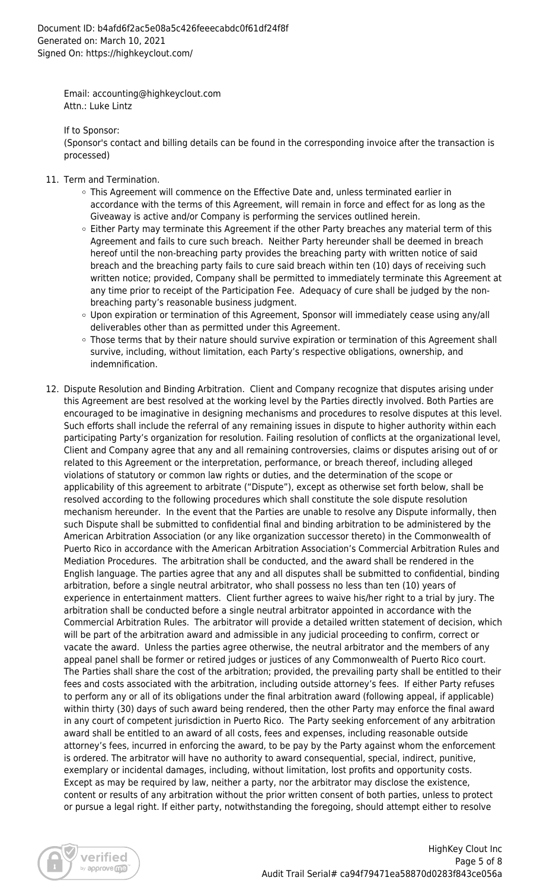Email: accounting@highkeyclout.com Attn.: Luke Lintz

If to Sponsor:

(Sponsor's contact and billing details can be found in the corresponding invoice after the transaction is processed)

- 11. Term and Termination.
	- This Agreement will commence on the Effective Date and, unless terminated earlier in accordance with the terms of this Agreement, will remain in force and effect for as long as the Giveaway is active and/or Company is performing the services outlined herein.
	- $\circ$  Either Party may terminate this Agreement if the other Party breaches any material term of this Agreement and fails to cure such breach. Neither Party hereunder shall be deemed in breach hereof until the non-breaching party provides the breaching party with written notice of said breach and the breaching party fails to cure said breach within ten (10) days of receiving such written notice; provided, Company shall be permitted to immediately terminate this Agreement at any time prior to receipt of the Participation Fee. Adequacy of cure shall be judged by the nonbreaching party's reasonable business judgment.
	- Upon expiration or termination of this Agreement, Sponsor will immediately cease using any/all deliverables other than as permitted under this Agreement.
	- Those terms that by their nature should survive expiration or termination of this Agreement shall survive, including, without limitation, each Party's respective obligations, ownership, and indemnification.
- 12. Dispute Resolution and Binding Arbitration. Client and Company recognize that disputes arising under this Agreement are best resolved at the working level by the Parties directly involved. Both Parties are encouraged to be imaginative in designing mechanisms and procedures to resolve disputes at this level. Such efforts shall include the referral of any remaining issues in dispute to higher authority within each participating Party's organization for resolution. Failing resolution of conflicts at the organizational level, Client and Company agree that any and all remaining controversies, claims or disputes arising out of or related to this Agreement or the interpretation, performance, or breach thereof, including alleged violations of statutory or common law rights or duties, and the determination of the scope or applicability of this agreement to arbitrate ("Dispute"), except as otherwise set forth below, shall be resolved according to the following procedures which shall constitute the sole dispute resolution mechanism hereunder. In the event that the Parties are unable to resolve any Dispute informally, then such Dispute shall be submitted to confidential final and binding arbitration to be administered by the American Arbitration Association (or any like organization successor thereto) in the Commonwealth of Puerto Rico in accordance with the American Arbitration Association's Commercial Arbitration Rules and Mediation Procedures. The arbitration shall be conducted, and the award shall be rendered in the English language. The parties agree that any and all disputes shall be submitted to confidential, binding arbitration, before a single neutral arbitrator, who shall possess no less than ten (10) years of experience in entertainment matters. Client further agrees to waive his/her right to a trial by jury. The arbitration shall be conducted before a single neutral arbitrator appointed in accordance with the Commercial Arbitration Rules. The arbitrator will provide a detailed written statement of decision, which will be part of the arbitration award and admissible in any judicial proceeding to confirm, correct or vacate the award. Unless the parties agree otherwise, the neutral arbitrator and the members of any appeal panel shall be former or retired judges or justices of any Commonwealth of Puerto Rico court. The Parties shall share the cost of the arbitration; provided, the prevailing party shall be entitled to their fees and costs associated with the arbitration, including outside attorney's fees. If either Party refuses to perform any or all of its obligations under the final arbitration award (following appeal, if applicable) within thirty (30) days of such award being rendered, then the other Party may enforce the final award in any court of competent jurisdiction in Puerto Rico. The Party seeking enforcement of any arbitration award shall be entitled to an award of all costs, fees and expenses, including reasonable outside attorney's fees, incurred in enforcing the award, to be pay by the Party against whom the enforcement is ordered. The arbitrator will have no authority to award consequential, special, indirect, punitive, exemplary or incidental damages, including, without limitation, lost profits and opportunity costs. Except as may be required by law, neither a party, nor the arbitrator may disclose the existence, content or results of any arbitration without the prior written consent of both parties, unless to protect or pursue a legal right. If either party, notwithstanding the foregoing, should attempt either to resolve

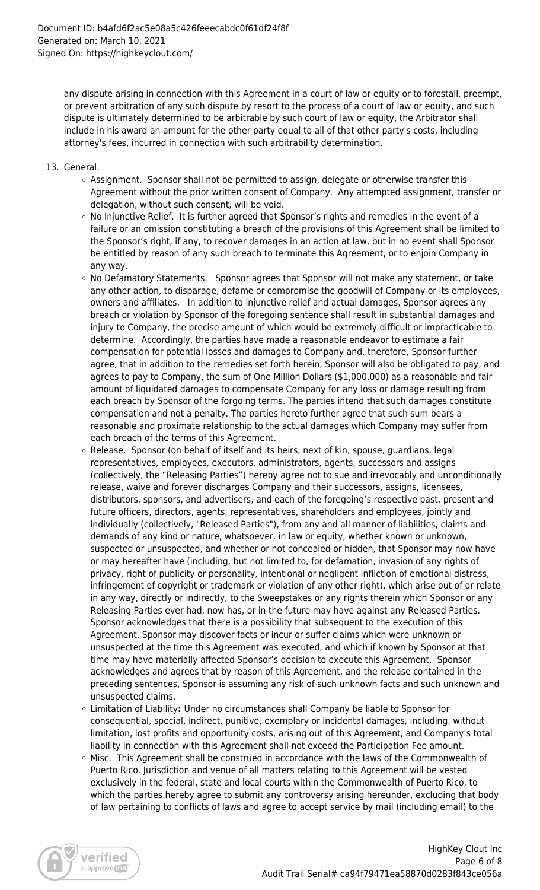any dispute arising in connection with this Agreement in a court of law or equity or to forestall, preempt, or prevent arbitration of any such dispute by resort to the process of a court of law or equity, and such dispute is ultimately determined to be arbitrable by such court of law or equity, the Arbitrator shall include in his award an amount for the other party equal to all of that other party's costs, including attorney's fees, incurred in connection with such arbitrability determination.

- 13. General.
	- $\circ$  Assignment. Sponsor shall not be permitted to assign, delegate or otherwise transfer this Agreement without the prior written consent of Company. Any attempted assignment, transfer or delegation, without such consent, will be void.
	- $\circ$  No Injunctive Relief. It is further agreed that Sponsor's rights and remedies in the event of a failure or an omission constituting a breach of the provisions of this Agreement shall be limited to the Sponsor's right, if any, to recover damages in an action at law, but in no event shall Sponsor be entitled by reason of any such breach to terminate this Agreement, or to enjoin Company in any way.
	- $\circ$  No Defamatory Statements. Sponsor agrees that Sponsor will not make any statement, or take any other action, to disparage, defame or compromise the goodwill of Company or its employees, owners and affiliates. In addition to injunctive relief and actual damages, Sponsor agrees any breach or violation by Sponsor of the foregoing sentence shall result in substantial damages and injury to Company, the precise amount of which would be extremely difficult or impracticable to determine. Accordingly, the parties have made a reasonable endeavor to estimate a fair compensation for potential losses and damages to Company and, therefore, Sponsor further agree, that in addition to the remedies set forth herein, Sponsor will also be obligated to pay, and agrees to pay to Company, the sum of One Million Dollars (\$1,000,000) as a reasonable and fair amount of liquidated damages to compensate Company for any loss or damage resulting from each breach by Sponsor of the forgoing terms. The parties intend that such damages constitute compensation and not a penalty. The parties hereto further agree that such sum bears a reasonable and proximate relationship to the actual damages which Company may suffer from each breach of the terms of this Agreement.
	- $\circ$  Release. Sponsor (on behalf of itself and its heirs, next of kin, spouse, guardians, legal representatives, employees, executors, administrators, agents, successors and assigns (collectively, the "Releasing Parties") hereby agree not to sue and irrevocably and unconditionally release, waive and forever discharges Company and their successors, assigns, licensees, distributors, sponsors, and advertisers, and each of the foregoing's respective past, present and future officers, directors, agents, representatives, shareholders and employees, jointly and individually (collectively, "Released Parties"), from any and all manner of liabilities, claims and demands of any kind or nature, whatsoever, in law or equity, whether known or unknown, suspected or unsuspected, and whether or not concealed or hidden, that Sponsor may now have or may hereafter have (including, but not limited to, for defamation, invasion of any rights of privacy, right of publicity or personality, intentional or negligent infliction of emotional distress, infringement of copyright or trademark or violation of any other right), which arise out of or relate in any way, directly or indirectly, to the Sweepstakes or any rights therein which Sponsor or any Releasing Parties ever had, now has, or in the future may have against any Released Parties. Sponsor acknowledges that there is a possibility that subsequent to the execution of this Agreement, Sponsor may discover facts or incur or suffer claims which were unknown or unsuspected at the time this Agreement was executed, and which if known by Sponsor at that time may have materially affected Sponsor's decision to execute this Agreement. Sponsor acknowledges and agrees that by reason of this Agreement, and the release contained in the preceding sentences, Sponsor is assuming any risk of such unknown facts and such unknown and unsuspected claims.
	- Limitation of Liability**:** Under no circumstances shall Company be liable to Sponsor for consequential, special, indirect, punitive, exemplary or incidental damages, including, without limitation, lost profits and opportunity costs, arising out of this Agreement, and Company's total liability in connection with this Agreement shall not exceed the Participation Fee amount.
	- $\circ$  Misc. This Agreement shall be construed in accordance with the laws of the Commonwealth of Puerto Rico. Jurisdiction and venue of all matters relating to this Agreement will be vested exclusively in the federal, state and local courts within the Commonwealth of Puerto Rico, to which the parties hereby agree to submit any controversy arising hereunder, excluding that body of law pertaining to conflicts of laws and agree to accept service by mail (including email) to the

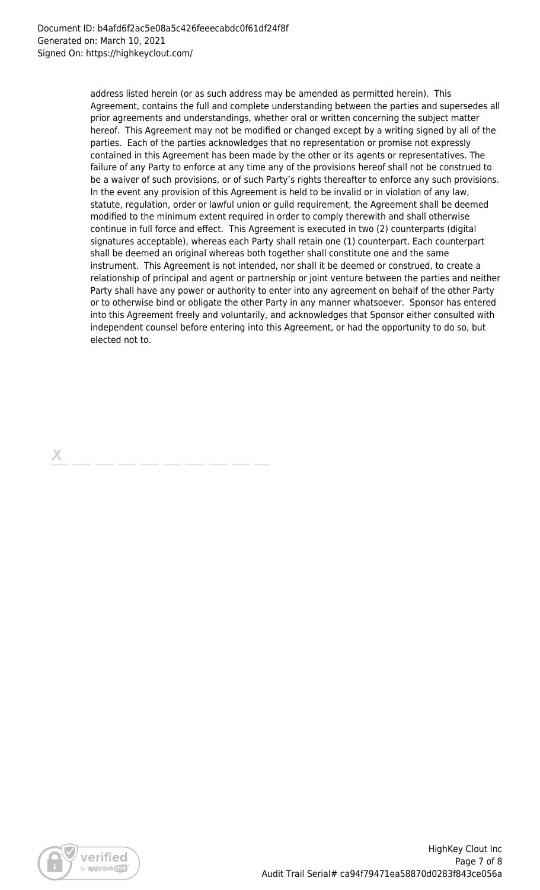address listed herein (or as such address may be amended as permitted herein). This Agreement, contains the full and complete understanding between the parties and supersedes all prior agreements and understandings, whether oral or written concerning the subject matter hereof. This Agreement may not be modified or changed except by a writing signed by all of the parties. Each of the parties acknowledges that no representation or promise not expressly contained in this Agreement has been made by the other or its agents or representatives. The failure of any Party to enforce at any time any of the provisions hereof shall not be construed to be a waiver of such provisions, or of such Party's rights thereafter to enforce any such provisions. In the event any provision of this Agreement is held to be invalid or in violation of any law, statute, regulation, order or lawful union or guild requirement, the Agreement shall be deemed modified to the minimum extent required in order to comply therewith and shall otherwise continue in full force and effect. This Agreement is executed in two (2) counterparts (digital signatures acceptable), whereas each Party shall retain one (1) counterpart. Each counterpart shall be deemed an original whereas both together shall constitute one and the same instrument. This Agreement is not intended, nor shall it be deemed or construed, to create a relationship of principal and agent or partnership or joint venture between the parties and neither Party shall have any power or authority to enter into any agreement on behalf of the other Party or to otherwise bind or obligate the other Party in any manner whatsoever. Sponsor has entered into this Agreement freely and voluntarily, and acknowledges that Sponsor either consulted with independent counsel before entering into this Agreement, or had the opportunity to do so, but elected not to.

Х